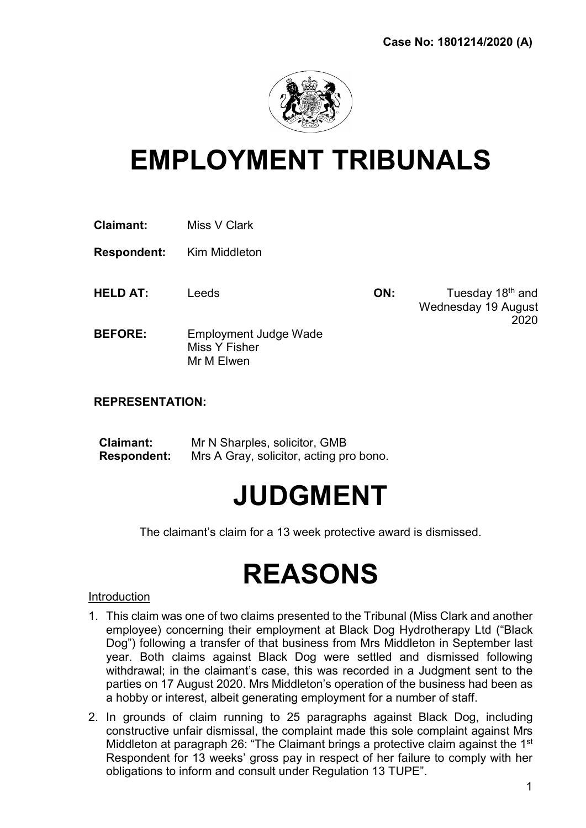

## EMPLOYMENT TRIBUNALS

| <b>Claimant:</b> | Miss V Clark |
|------------------|--------------|
|------------------|--------------|

Respondent: Kim Middleton

HELD AT: Leeds **ON:** Tuesday 18<sup>th</sup> and Wednesday 19 August 2020

BEFORE: Employment Judge Wade Miss Y Fisher Mr M Elwen

## REPRESENTATION:

| <b>Claimant:</b>   | Mr N Sharples, solicitor, GMB           |
|--------------------|-----------------------------------------|
| <b>Respondent:</b> | Mrs A Gray, solicitor, acting pro bono. |

## JUDGMENT

The claimant's claim for a 13 week protective award is dismissed.

# REASONS

#### Introduction

- 1. This claim was one of two claims presented to the Tribunal (Miss Clark and another employee) concerning their employment at Black Dog Hydrotherapy Ltd ("Black Dog") following a transfer of that business from Mrs Middleton in September last year. Both claims against Black Dog were settled and dismissed following withdrawal; in the claimant's case, this was recorded in a Judgment sent to the parties on 17 August 2020. Mrs Middleton's operation of the business had been as a hobby or interest, albeit generating employment for a number of staff.
- 2. In grounds of claim running to 25 paragraphs against Black Dog, including constructive unfair dismissal, the complaint made this sole complaint against Mrs Middleton at paragraph 26: "The Claimant brings a protective claim against the 1<sup>st</sup> Respondent for 13 weeks' gross pay in respect of her failure to comply with her obligations to inform and consult under Regulation 13 TUPE".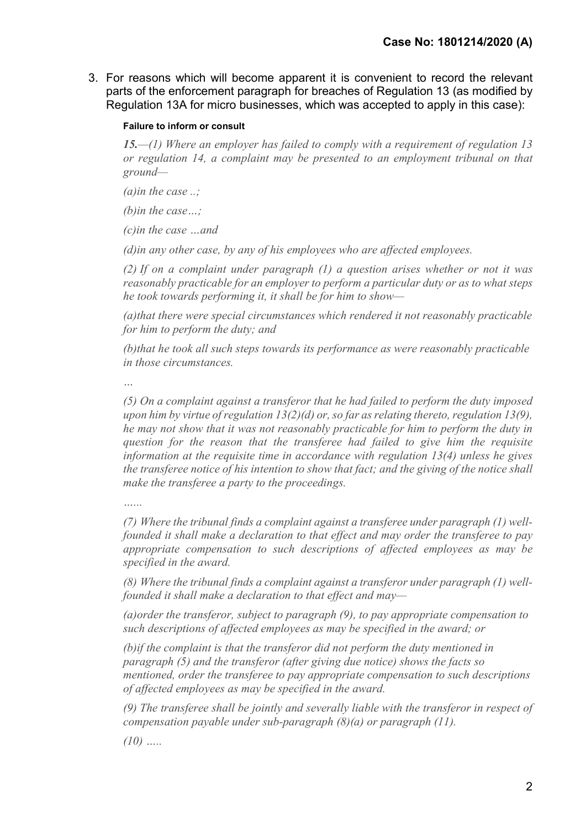3. For reasons which will become apparent it is convenient to record the relevant parts of the enforcement paragraph for breaches of Regulation 13 (as modified by Regulation 13A for micro businesses, which was accepted to apply in this case):

#### Failure to inform or consult

15.—(1) Where an employer has failed to comply with a requirement of regulation 13 or regulation 14, a complaint may be presented to an employment tribunal on that ground—

(a)in the case  $\ldots$ ;

(b)in the case…;

(c)in the case …and

(d)in any other case, by any of his employees who are affected employees.

(2) If on a complaint under paragraph (1) a question arises whether or not it was reasonably practicable for an employer to perform a particular duty or as to what steps he took towards performing it, it shall be for him to show—

(a)that there were special circumstances which rendered it not reasonably practicable for him to perform the duty; and

(b)that he took all such steps towards its performance as were reasonably practicable in those circumstances.

…

(5) On a complaint against a transferor that he had failed to perform the duty imposed upon him by virtue of regulation  $13(2)(d)$  or, so far as relating thereto, regulation  $13(9)$ , he may not show that it was not reasonably practicable for him to perform the duty in question for the reason that the transferee had failed to give him the requisite information at the requisite time in accordance with regulation 13(4) unless he gives the transferee notice of his intention to show that fact; and the giving of the notice shall make the transferee a party to the proceedings.

 $\sim$ 

(7) Where the tribunal finds a complaint against a transferee under paragraph (1) wellfounded it shall make a declaration to that effect and may order the transferee to pay appropriate compensation to such descriptions of affected employees as may be specified in the award.

(8) Where the tribunal finds a complaint against a transferor under paragraph (1) wellfounded it shall make a declaration to that effect and may—

(a)order the transferor, subject to paragraph (9), to pay appropriate compensation to such descriptions of affected employees as may be specified in the award; or

(b)if the complaint is that the transferor did not perform the duty mentioned in paragraph (5) and the transferor (after giving due notice) shows the facts so mentioned, order the transferee to pay appropriate compensation to such descriptions of affected employees as may be specified in the award.

(9) The transferee shall be jointly and severally liable with the transferor in respect of compensation payable under sub-paragraph  $(8)(a)$  or paragraph  $(11)$ .

 $(10)$  …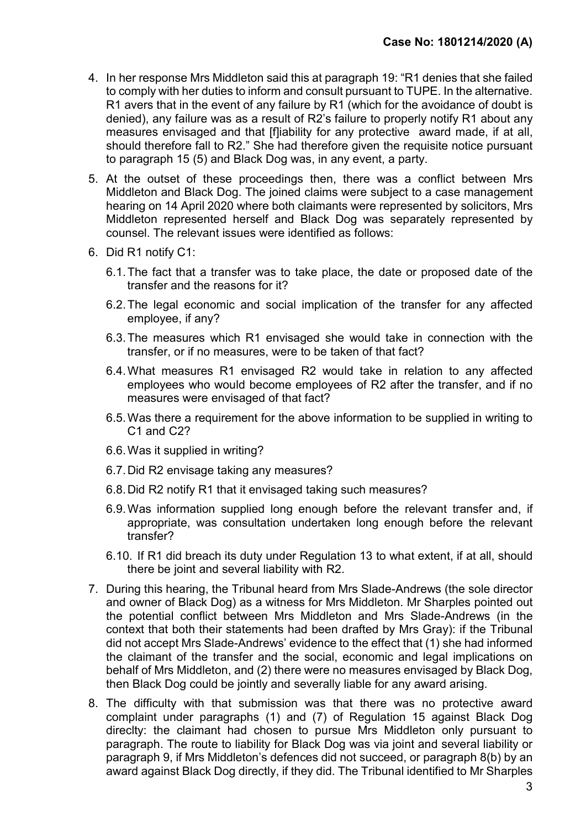- 4. In her response Mrs Middleton said this at paragraph 19: "R1 denies that she failed to comply with her duties to inform and consult pursuant to TUPE. In the alternative. R1 avers that in the event of any failure by R1 (which for the avoidance of doubt is denied), any failure was as a result of R2's failure to properly notify R1 about any measures envisaged and that [f]iability for any protective award made, if at all, should therefore fall to R2." She had therefore given the requisite notice pursuant to paragraph 15 (5) and Black Dog was, in any event, a party.
- 5. At the outset of these proceedings then, there was a conflict between Mrs Middleton and Black Dog. The joined claims were subject to a case management hearing on 14 April 2020 where both claimants were represented by solicitors, Mrs Middleton represented herself and Black Dog was separately represented by counsel. The relevant issues were identified as follows:
- 6. Did R1 notify C1:
	- 6.1. The fact that a transfer was to take place, the date or proposed date of the transfer and the reasons for it?
	- 6.2. The legal economic and social implication of the transfer for any affected employee, if any?
	- 6.3. The measures which R1 envisaged she would take in connection with the transfer, or if no measures, were to be taken of that fact?
	- 6.4. What measures R1 envisaged R2 would take in relation to any affected employees who would become employees of R2 after the transfer, and if no measures were envisaged of that fact?
	- 6.5. Was there a requirement for the above information to be supplied in writing to C<sub>1</sub> and C<sub>2</sub>?
	- 6.6. Was it supplied in writing?
	- 6.7. Did R2 envisage taking any measures?
	- 6.8. Did R2 notify R1 that it envisaged taking such measures?
	- 6.9. Was information supplied long enough before the relevant transfer and, if appropriate, was consultation undertaken long enough before the relevant transfer?
	- 6.10. If R1 did breach its duty under Regulation 13 to what extent, if at all, should there be joint and several liability with R2.
- 7. During this hearing, the Tribunal heard from Mrs Slade-Andrews (the sole director and owner of Black Dog) as a witness for Mrs Middleton. Mr Sharples pointed out the potential conflict between Mrs Middleton and Mrs Slade-Andrews (in the context that both their statements had been drafted by Mrs Gray): if the Tribunal did not accept Mrs Slade-Andrews' evidence to the effect that (1) she had informed the claimant of the transfer and the social, economic and legal implications on behalf of Mrs Middleton, and (2) there were no measures envisaged by Black Dog, then Black Dog could be jointly and severally liable for any award arising.
- 8. The difficulty with that submission was that there was no protective award complaint under paragraphs (1) and (7) of Regulation 15 against Black Dog direclty: the claimant had chosen to pursue Mrs Middleton only pursuant to paragraph. The route to liability for Black Dog was via joint and several liability or paragraph 9, if Mrs Middleton's defences did not succeed, or paragraph 8(b) by an award against Black Dog directly, if they did. The Tribunal identified to Mr Sharples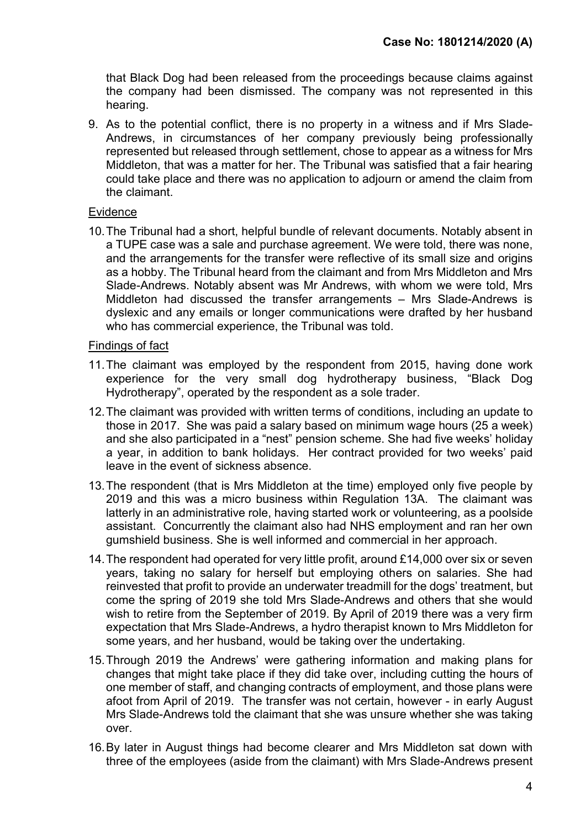that Black Dog had been released from the proceedings because claims against the company had been dismissed. The company was not represented in this hearing.

9. As to the potential conflict, there is no property in a witness and if Mrs Slade-Andrews, in circumstances of her company previously being professionally represented but released through settlement, chose to appear as a witness for Mrs Middleton, that was a matter for her. The Tribunal was satisfied that a fair hearing could take place and there was no application to adjourn or amend the claim from the claimant.

## Evidence

10. The Tribunal had a short, helpful bundle of relevant documents. Notably absent in a TUPE case was a sale and purchase agreement. We were told, there was none, and the arrangements for the transfer were reflective of its small size and origins as a hobby. The Tribunal heard from the claimant and from Mrs Middleton and Mrs Slade-Andrews. Notably absent was Mr Andrews, with whom we were told, Mrs Middleton had discussed the transfer arrangements – Mrs Slade-Andrews is dyslexic and any emails or longer communications were drafted by her husband who has commercial experience, the Tribunal was told.

## Findings of fact

- 11. The claimant was employed by the respondent from 2015, having done work experience for the very small dog hydrotherapy business, "Black Dog Hydrotherapy", operated by the respondent as a sole trader.
- 12. The claimant was provided with written terms of conditions, including an update to those in 2017. She was paid a salary based on minimum wage hours (25 a week) and she also participated in a "nest" pension scheme. She had five weeks' holiday a year, in addition to bank holidays. Her contract provided for two weeks' paid leave in the event of sickness absence.
- 13. The respondent (that is Mrs Middleton at the time) employed only five people by 2019 and this was a micro business within Regulation 13A. The claimant was latterly in an administrative role, having started work or volunteering, as a poolside assistant. Concurrently the claimant also had NHS employment and ran her own gumshield business. She is well informed and commercial in her approach.
- 14. The respondent had operated for very little profit, around £14,000 over six or seven years, taking no salary for herself but employing others on salaries. She had reinvested that profit to provide an underwater treadmill for the dogs' treatment, but come the spring of 2019 she told Mrs Slade-Andrews and others that she would wish to retire from the September of 2019. By April of 2019 there was a very firm expectation that Mrs Slade-Andrews, a hydro therapist known to Mrs Middleton for some years, and her husband, would be taking over the undertaking.
- 15. Through 2019 the Andrews' were gathering information and making plans for changes that might take place if they did take over, including cutting the hours of one member of staff, and changing contracts of employment, and those plans were afoot from April of 2019. The transfer was not certain, however - in early August Mrs Slade-Andrews told the claimant that she was unsure whether she was taking over.
- 16. By later in August things had become clearer and Mrs Middleton sat down with three of the employees (aside from the claimant) with Mrs Slade-Andrews present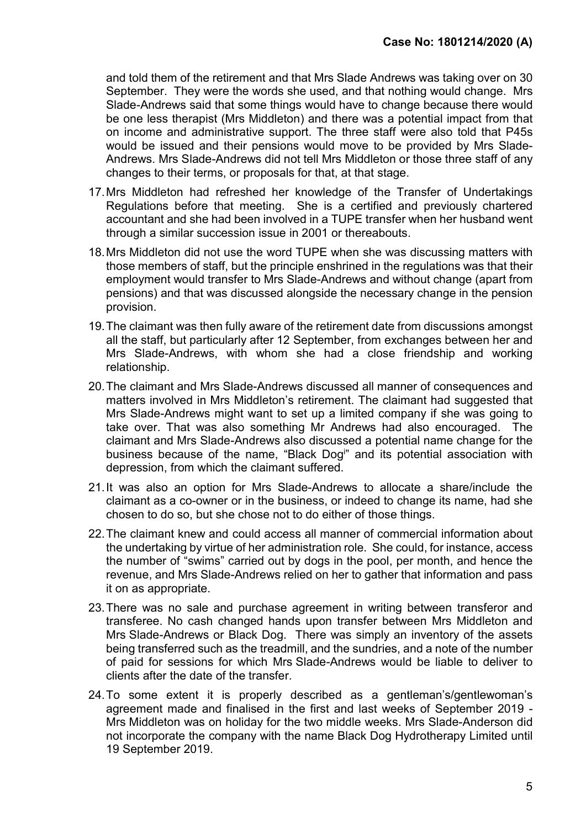and told them of the retirement and that Mrs Slade Andrews was taking over on 30 September. They were the words she used, and that nothing would change. Mrs Slade-Andrews said that some things would have to change because there would be one less therapist (Mrs Middleton) and there was a potential impact from that on income and administrative support. The three staff were also told that P45s would be issued and their pensions would move to be provided by Mrs Slade-Andrews. Mrs Slade-Andrews did not tell Mrs Middleton or those three staff of any changes to their terms, or proposals for that, at that stage.

- 17. Mrs Middleton had refreshed her knowledge of the Transfer of Undertakings Regulations before that meeting. She is a certified and previously chartered accountant and she had been involved in a TUPE transfer when her husband went through a similar succession issue in 2001 or thereabouts.
- 18. Mrs Middleton did not use the word TUPE when she was discussing matters with those members of staff, but the principle enshrined in the regulations was that their employment would transfer to Mrs Slade-Andrews and without change (apart from pensions) and that was discussed alongside the necessary change in the pension provision.
- 19. The claimant was then fully aware of the retirement date from discussions amongst all the staff, but particularly after 12 September, from exchanges between her and Mrs Slade-Andrews, with whom she had a close friendship and working relationship.
- 20. The claimant and Mrs Slade-Andrews discussed all manner of consequences and matters involved in Mrs Middleton's retirement. The claimant had suggested that Mrs Slade-Andrews might want to set up a limited company if she was going to take over. That was also something Mr Andrews had also encouraged. The claimant and Mrs Slade-Andrews also discussed a potential name change for the business because of the name, "Black Dog<sup>i</sup>" and its potential association with depression, from which the claimant suffered.
- 21. It was also an option for Mrs Slade-Andrews to allocate a share/include the claimant as a co-owner or in the business, or indeed to change its name, had she chosen to do so, but she chose not to do either of those things.
- 22. The claimant knew and could access all manner of commercial information about the undertaking by virtue of her administration role. She could, for instance, access the number of "swims" carried out by dogs in the pool, per month, and hence the revenue, and Mrs Slade-Andrews relied on her to gather that information and pass it on as appropriate.
- 23. There was no sale and purchase agreement in writing between transferor and transferee. No cash changed hands upon transfer between Mrs Middleton and Mrs Slade-Andrews or Black Dog. There was simply an inventory of the assets being transferred such as the treadmill, and the sundries, and a note of the number of paid for sessions for which Mrs Slade-Andrews would be liable to deliver to clients after the date of the transfer.
- 24. To some extent it is properly described as a gentleman's/gentlewoman's agreement made and finalised in the first and last weeks of September 2019 - Mrs Middleton was on holiday for the two middle weeks. Mrs Slade-Anderson did not incorporate the company with the name Black Dog Hydrotherapy Limited until 19 September 2019.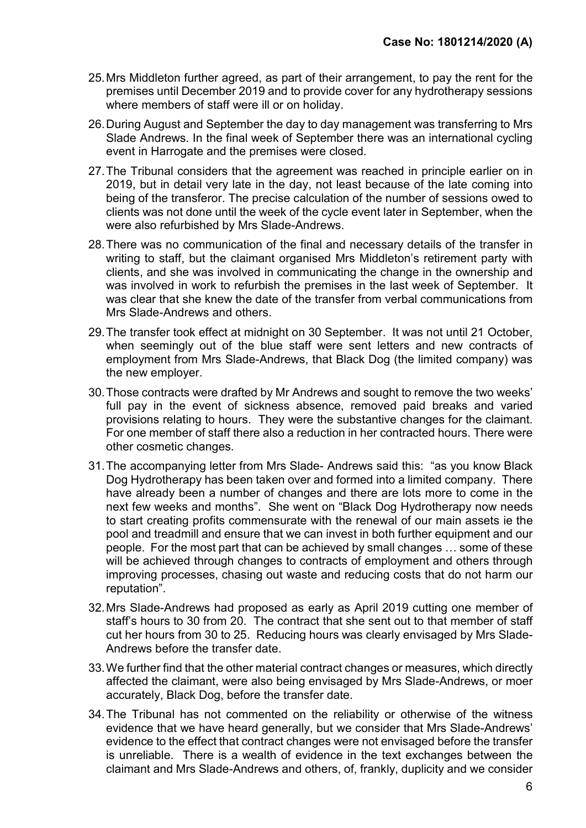- 25. Mrs Middleton further agreed, as part of their arrangement, to pay the rent for the premises until December 2019 and to provide cover for any hydrotherapy sessions where members of staff were ill or on holiday.
- 26. During August and September the day to day management was transferring to Mrs Slade Andrews. In the final week of September there was an international cycling event in Harrogate and the premises were closed.
- 27. The Tribunal considers that the agreement was reached in principle earlier on in 2019, but in detail very late in the day, not least because of the late coming into being of the transferor. The precise calculation of the number of sessions owed to clients was not done until the week of the cycle event later in September, when the were also refurbished by Mrs Slade-Andrews.
- 28. There was no communication of the final and necessary details of the transfer in writing to staff, but the claimant organised Mrs Middleton's retirement party with clients, and she was involved in communicating the change in the ownership and was involved in work to refurbish the premises in the last week of September. It was clear that she knew the date of the transfer from verbal communications from Mrs Slade-Andrews and others.
- 29. The transfer took effect at midnight on 30 September. It was not until 21 October, when seemingly out of the blue staff were sent letters and new contracts of employment from Mrs Slade-Andrews, that Black Dog (the limited company) was the new employer.
- 30. Those contracts were drafted by Mr Andrews and sought to remove the two weeks' full pay in the event of sickness absence, removed paid breaks and varied provisions relating to hours. They were the substantive changes for the claimant. For one member of staff there also a reduction in her contracted hours. There were other cosmetic changes.
- 31. The accompanying letter from Mrs Slade- Andrews said this: "as you know Black Dog Hydrotherapy has been taken over and formed into a limited company. There have already been a number of changes and there are lots more to come in the next few weeks and months". She went on "Black Dog Hydrotherapy now needs to start creating profits commensurate with the renewal of our main assets ie the pool and treadmill and ensure that we can invest in both further equipment and our people. For the most part that can be achieved by small changes … some of these will be achieved through changes to contracts of employment and others through improving processes, chasing out waste and reducing costs that do not harm our reputation".
- 32. Mrs Slade-Andrews had proposed as early as April 2019 cutting one member of staff's hours to 30 from 20. The contract that she sent out to that member of staff cut her hours from 30 to 25. Reducing hours was clearly envisaged by Mrs Slade-Andrews before the transfer date.
- 33. We further find that the other material contract changes or measures, which directly affected the claimant, were also being envisaged by Mrs Slade-Andrews, or moer accurately, Black Dog, before the transfer date.
- 34. The Tribunal has not commented on the reliability or otherwise of the witness evidence that we have heard generally, but we consider that Mrs Slade-Andrews' evidence to the effect that contract changes were not envisaged before the transfer is unreliable. There is a wealth of evidence in the text exchanges between the claimant and Mrs Slade-Andrews and others, of, frankly, duplicity and we consider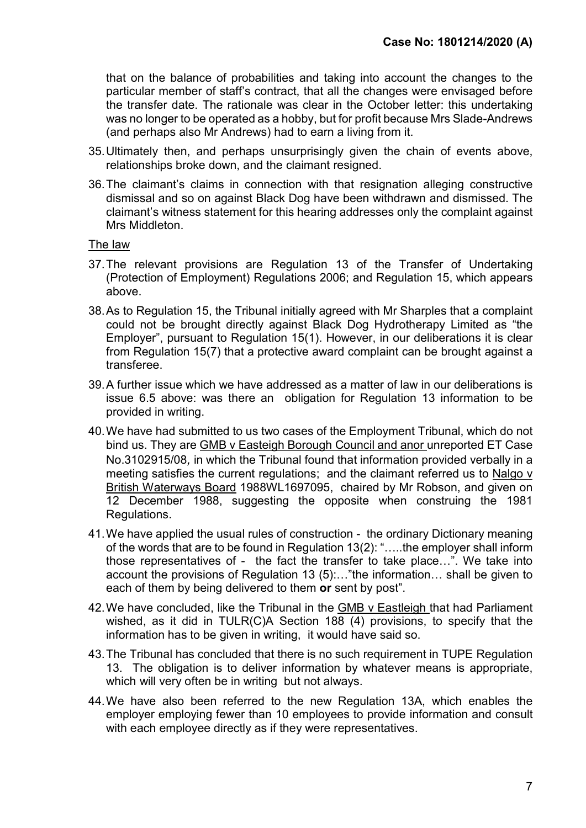that on the balance of probabilities and taking into account the changes to the particular member of staff's contract, that all the changes were envisaged before the transfer date. The rationale was clear in the October letter: this undertaking was no longer to be operated as a hobby, but for profit because Mrs Slade-Andrews (and perhaps also Mr Andrews) had to earn a living from it.

- 35. Ultimately then, and perhaps unsurprisingly given the chain of events above, relationships broke down, and the claimant resigned.
- 36. The claimant's claims in connection with that resignation alleging constructive dismissal and so on against Black Dog have been withdrawn and dismissed. The claimant's witness statement for this hearing addresses only the complaint against Mrs Middleton.

#### The law

- 37. The relevant provisions are Regulation 13 of the Transfer of Undertaking (Protection of Employment) Regulations 2006; and Regulation 15, which appears above.
- 38. As to Regulation 15, the Tribunal initially agreed with Mr Sharples that a complaint could not be brought directly against Black Dog Hydrotherapy Limited as "the Employer", pursuant to Regulation 15(1). However, in our deliberations it is clear from Regulation 15(7) that a protective award complaint can be brought against a transferee.
- 39. A further issue which we have addressed as a matter of law in our deliberations is issue 6.5 above: was there an obligation for Regulation 13 information to be provided in writing.
- 40. We have had submitted to us two cases of the Employment Tribunal, which do not bind us. They are GMB v Easteigh Borough Council and anor unreported ET Case No.3102915/08, in which the Tribunal found that information provided verbally in a meeting satisfies the current regulations; and the claimant referred us to Nalgo v British Waterways Board 1988WL1697095, chaired by Mr Robson, and given on 12 December 1988, suggesting the opposite when construing the 1981 Regulations.
- 41. We have applied the usual rules of construction the ordinary Dictionary meaning of the words that are to be found in Regulation 13(2): "…..the employer shall inform those representatives of - the fact the transfer to take place…". We take into account the provisions of Regulation 13 (5):…"the information… shall be given to each of them by being delivered to them or sent by post".
- 42. We have concluded, like the Tribunal in the GMB v Eastleigh that had Parliament wished, as it did in TULR(C)A Section 188 (4) provisions, to specify that the information has to be given in writing, it would have said so.
- 43. The Tribunal has concluded that there is no such requirement in TUPE Regulation 13. The obligation is to deliver information by whatever means is appropriate, which will very often be in writing but not always.
- 44. We have also been referred to the new Regulation 13A, which enables the employer employing fewer than 10 employees to provide information and consult with each employee directly as if they were representatives.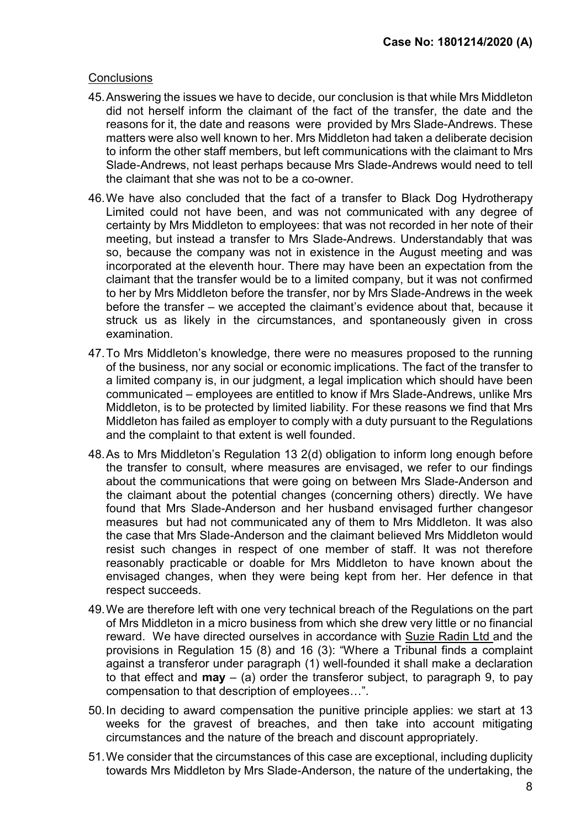### **Conclusions**

- 45. Answering the issues we have to decide, our conclusion is that while Mrs Middleton did not herself inform the claimant of the fact of the transfer, the date and the reasons for it, the date and reasons were provided by Mrs Slade-Andrews. These matters were also well known to her. Mrs Middleton had taken a deliberate decision to inform the other staff members, but left communications with the claimant to Mrs Slade-Andrews, not least perhaps because Mrs Slade-Andrews would need to tell the claimant that she was not to be a co-owner.
- 46. We have also concluded that the fact of a transfer to Black Dog Hydrotherapy Limited could not have been, and was not communicated with any degree of certainty by Mrs Middleton to employees: that was not recorded in her note of their meeting, but instead a transfer to Mrs Slade-Andrews. Understandably that was so, because the company was not in existence in the August meeting and was incorporated at the eleventh hour. There may have been an expectation from the claimant that the transfer would be to a limited company, but it was not confirmed to her by Mrs Middleton before the transfer, nor by Mrs Slade-Andrews in the week before the transfer – we accepted the claimant's evidence about that, because it struck us as likely in the circumstances, and spontaneously given in cross examination.
- 47. To Mrs Middleton's knowledge, there were no measures proposed to the running of the business, nor any social or economic implications. The fact of the transfer to a limited company is, in our judgment, a legal implication which should have been communicated – employees are entitled to know if Mrs Slade-Andrews, unlike Mrs Middleton, is to be protected by limited liability. For these reasons we find that Mrs Middleton has failed as employer to comply with a duty pursuant to the Regulations and the complaint to that extent is well founded.
- 48. As to Mrs Middleton's Regulation 13 2(d) obligation to inform long enough before the transfer to consult, where measures are envisaged, we refer to our findings about the communications that were going on between Mrs Slade-Anderson and the claimant about the potential changes (concerning others) directly. We have found that Mrs Slade-Anderson and her husband envisaged further changesor measures but had not communicated any of them to Mrs Middleton. It was also the case that Mrs Slade-Anderson and the claimant believed Mrs Middleton would resist such changes in respect of one member of staff. It was not therefore reasonably practicable or doable for Mrs Middleton to have known about the envisaged changes, when they were being kept from her. Her defence in that respect succeeds.
- 49. We are therefore left with one very technical breach of the Regulations on the part of Mrs Middleton in a micro business from which she drew very little or no financial reward. We have directed ourselves in accordance with Suzie Radin Ltd and the provisions in Regulation 15 (8) and 16 (3): "Where a Tribunal finds a complaint against a transferor under paragraph (1) well-founded it shall make a declaration to that effect and  $\mathbf{may} - (\mathbf{a})$  order the transferor subject, to paragraph 9, to pay compensation to that description of employees…".
- 50. In deciding to award compensation the punitive principle applies: we start at 13 weeks for the gravest of breaches, and then take into account mitigating circumstances and the nature of the breach and discount appropriately.
- 51. We consider that the circumstances of this case are exceptional, including duplicity towards Mrs Middleton by Mrs Slade-Anderson, the nature of the undertaking, the